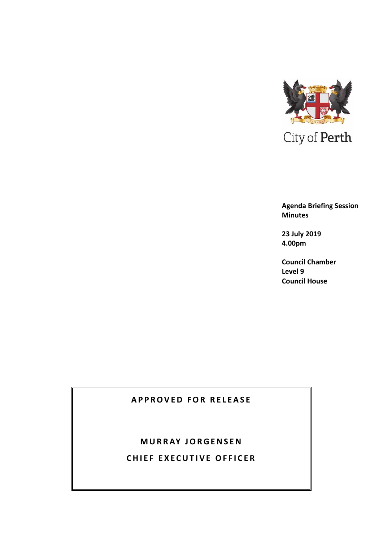

**Agenda Briefing Session Minutes**

**23 July 2019 4.00pm**

**Council Chamber Level 9 Council House**

# **APPROVED FOR RELEASE**

# **M U R R AY J O R G E N S E N**

**CHIEF EXECUTIVE OFFICER**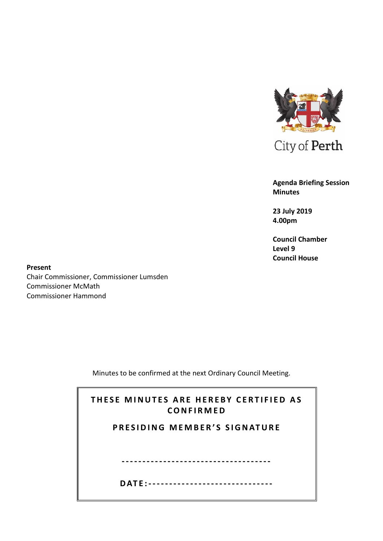

City of Perth

**Agenda Briefing Session Minutes**

**23 July 2019 4.00pm**

**Council Chamber Level 9 Council House**

**Present** Chair Commissioner, Commissioner Lumsden Commissioner McMath Commissioner Hammond

Minutes to be confirmed at the next Ordinary Council Meeting.

| THESE MINUTES ARE HEREBY CERTIFIED AS<br>CONFIRMED |  |  |  |  |
|----------------------------------------------------|--|--|--|--|
| PRESIDING MEMBER'S SIGNATURE                       |  |  |  |  |
|                                                    |  |  |  |  |
|                                                    |  |  |  |  |
|                                                    |  |  |  |  |
| DATF:----------------------------                  |  |  |  |  |
|                                                    |  |  |  |  |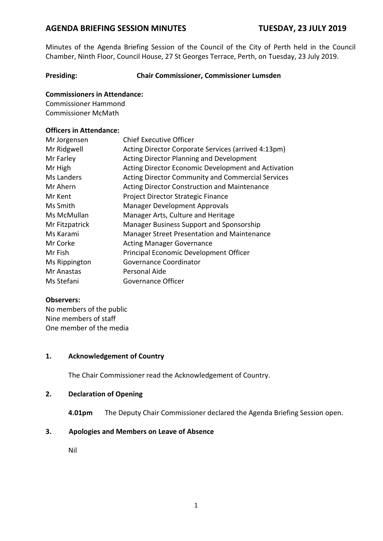Minutes of the Agenda Briefing Session of the Council of the City of Perth held in the Council Chamber, Ninth Floor, Council House, 27 St Georges Terrace, Perth, on Tuesday, 23 July 2019.

### **Presiding: Chair Commissioner, Commissioner Lumsden**

### **Commissioners in Attendance:**

Commissioner Hammond Commissioner McMath

### **Officers in Attendance:**

| Mr Jorgensen   | <b>Chief Executive Officer</b>                           |
|----------------|----------------------------------------------------------|
| Mr Ridgwell    | Acting Director Corporate Services (arrived 4:13pm)      |
| Mr Farley      | Acting Director Planning and Development                 |
| Mr High        | Acting Director Economic Development and Activation      |
| Ms Landers     | <b>Acting Director Community and Commercial Services</b> |
| Mr Ahern       | <b>Acting Director Construction and Maintenance</b>      |
| Mr Kent        | Project Director Strategic Finance                       |
| Ms Smith       | <b>Manager Development Approvals</b>                     |
| Ms McMullan    | Manager Arts, Culture and Heritage                       |
| Mr Fitzpatrick | Manager Business Support and Sponsorship                 |
| Ms Karami      | Manager Street Presentation and Maintenance              |
| Mr Corke       | <b>Acting Manager Governance</b>                         |
| Mr Fish        | Principal Economic Development Officer                   |
| Ms Rippington  | Governance Coordinator                                   |
| Mr Anastas     | Personal Aide                                            |
| Ms Stefani     | Governance Officer                                       |

#### **Observers:**

No members of the public Nine members of staff One member of the media

#### **1. Acknowledgement of Country**

The Chair Commissioner read the Acknowledgement of Country.

#### **2. Declaration of Opening**

**4.01pm** The Deputy Chair Commissioner declared the Agenda Briefing Session open.

#### **3. Apologies and Members on Leave of Absence**

Nil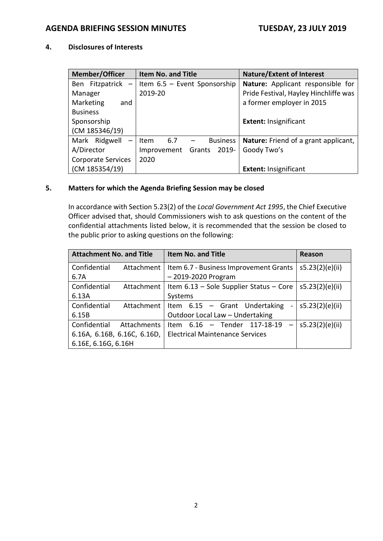# **4. Disclosures of Interests**

| <b>Member/Officer</b>              | <b>Item No. and Title</b>                           | <b>Nature/Extent of Interest</b>            |  |
|------------------------------------|-----------------------------------------------------|---------------------------------------------|--|
|                                    | Ben Fitzpatrick $-$ Item 6.5 – Event Sponsorship    | Nature: Applicant responsible for           |  |
| Manager                            | 2019-20                                             | Pride Festival, Hayley Hinchliffe was       |  |
| Marketing<br>and                   |                                                     | a former employer in 2015                   |  |
| <b>Business</b>                    |                                                     |                                             |  |
| Sponsorship                        |                                                     | <b>Extent: Insignificant</b>                |  |
| (CM 185346/19)                     |                                                     |                                             |  |
| Mark Ridgwell<br>$\qquad \qquad -$ | <b>Business</b><br>6.7<br>Item<br>$\qquad \qquad -$ | <b>Nature:</b> Friend of a grant applicant, |  |
| A/Director                         | Improvement Grants<br>2019-                         | Goody Two's                                 |  |
| <b>Corporate Services</b>          | 2020                                                |                                             |  |
| (CM 185354/19)                     |                                                     | <b>Extent: Insignificant</b>                |  |

### **5. Matters for which the Agenda Briefing Session may be closed**

In accordance with Section 5.23(2) of the *Local Government Act 1995*, the Chief Executive Officer advised that, should Commissioners wish to ask questions on the content of the confidential attachments listed below, it is recommended that the session be closed to the public prior to asking questions on the following:

| <b>Attachment No. and Title</b><br><b>Item No. and Title</b> |                             | Reason                                                          |                 |
|--------------------------------------------------------------|-----------------------------|-----------------------------------------------------------------|-----------------|
| Confidential                                                 |                             | Attachment   Item 6.7 - Business Improvement Grants             | s5.23(2)(e)(ii) |
| 6.7A                                                         |                             | $-2019 - 2020$ Program                                          |                 |
| Confidential                                                 |                             | Attachment   Item $6.13$ – Sole Supplier Status – Core          | s5.23(2)(e)(ii) |
| 6.13A                                                        |                             | Systems                                                         |                 |
| Confidential                                                 |                             | Attachment   Item 6.15 - Grant Undertaking<br>$\qquad \qquad -$ | s5.23(2)(e)(ii) |
| 6.15B                                                        |                             | Outdoor Local Law - Undertaking                                 |                 |
| Confidential                                                 | Attachments                 | Item 6.16 - Tender 117-18-19<br>$\overline{\phantom{m}}$        | s5.23(2)(e)(ii) |
|                                                              | 6.16A, 6.16B, 6.16C, 6.16D, | <b>Electrical Maintenance Services</b>                          |                 |
| 6.16E, 6.16G, 6.16H                                          |                             |                                                                 |                 |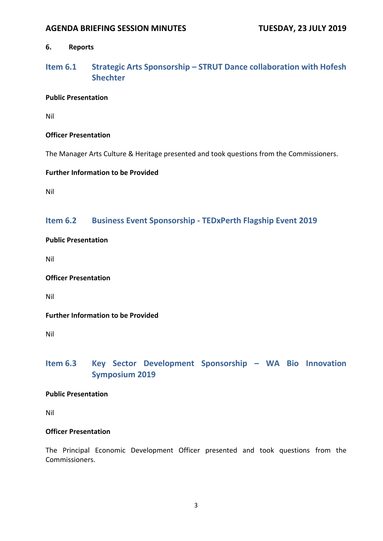### **6. Reports**

# **Item 6.1 Strategic Arts Sponsorship – STRUT Dance collaboration with Hofesh Shechter**

#### **Public Presentation**

Nil

### **Officer Presentation**

The Manager Arts Culture & Heritage presented and took questions from the Commissioners.

### **Further Information to be Provided**

Nil

# **Item 6.2 Business Event Sponsorship - TEDxPerth Flagship Event 2019**

### **Public Presentation**

Nil

### **Officer Presentation**

Nil

### **Further Information to be Provided**

Nil

# **Item 6.3 Key Sector Development Sponsorship – WA Bio Innovation Symposium 2019**

#### **Public Presentation**

Nil

#### **Officer Presentation**

The Principal Economic Development Officer presented and took questions from the Commissioners.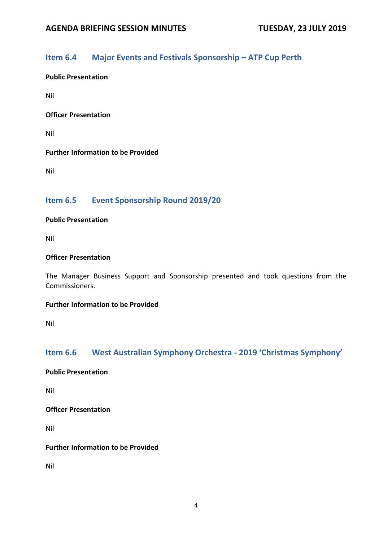# **Item 6.4 Major Events and Festivals Sponsorship – ATP Cup Perth**

### **Public Presentation**

Nil

#### **Officer Presentation**

Nil

### **Further Information to be Provided**

Nil

# **Item 6.5 Event Sponsorship Round 2019/20**

#### **Public Presentation**

Nil

#### **Officer Presentation**

The Manager Business Support and Sponsorship presented and took questions from the Commissioners.

#### **Further Information to be Provided**

Nil

# **Item 6.6 West Australian Symphony Orchestra - 2019 'Christmas Symphony'**

**Public Presentation**

Nil

**Officer Presentation**

Nil

### **Further Information to be Provided**

Nil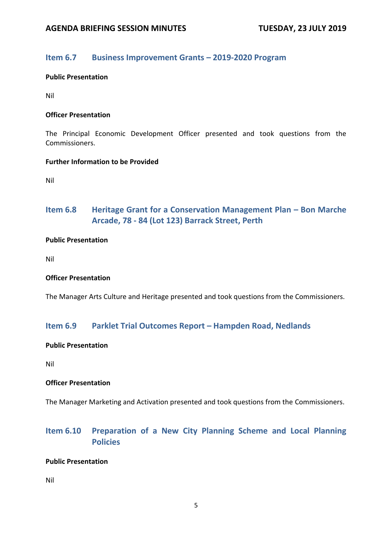# **Item 6.7 Business Improvement Grants – 2019-2020 Program**

#### **Public Presentation**

Nil

#### **Officer Presentation**

The Principal Economic Development Officer presented and took questions from the Commissioners.

#### **Further Information to be Provided**

Nil

# **Item 6.8 Heritage Grant for a Conservation Management Plan – Bon Marche Arcade, 78 - 84 (Lot 123) Barrack Street, Perth**

#### **Public Presentation**

Nil

#### **Officer Presentation**

The Manager Arts Culture and Heritage presented and took questions from the Commissioners.

### **Item 6.9 Parklet Trial Outcomes Report – Hampden Road, Nedlands**

#### **Public Presentation**

Nil

#### **Officer Presentation**

The Manager Marketing and Activation presented and took questions from the Commissioners.

# **Item 6.10 Preparation of a New City Planning Scheme and Local Planning Policies**

#### **Public Presentation**

Nil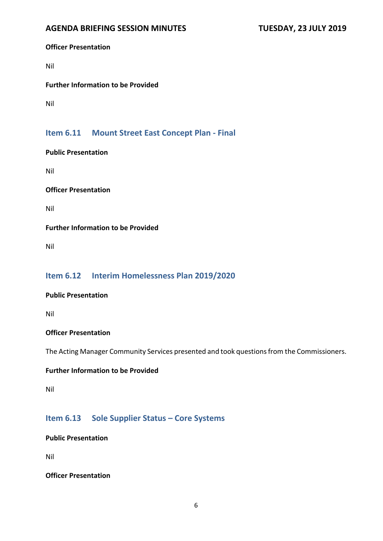#### **Officer Presentation**

Nil

### **Further Information to be Provided**

Nil

# **Item 6.11 Mount Street East Concept Plan - Final**

#### **Public Presentation**

Nil

#### **Officer Presentation**

Nil

### **Further Information to be Provided**

Nil

# **Item 6.12 Interim Homelessness Plan 2019/2020**

#### **Public Presentation**

Nil

#### **Officer Presentation**

The Acting Manager Community Services presented and took questions from the Commissioners.

#### **Further Information to be Provided**

Nil

# **Item 6.13 Sole Supplier Status – Core Systems**

**Public Presentation**

Nil

#### **Officer Presentation**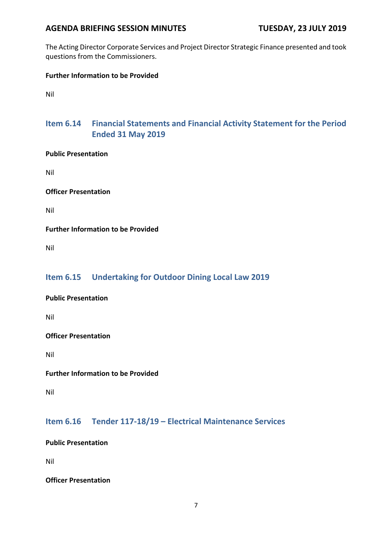The Acting Director Corporate Services and Project Director Strategic Finance presented and took questions from the Commissioners.

# **Further Information to be Provided**

Nil

# **Item 6.14 Financial Statements and Financial Activity Statement for the Period Ended 31 May 2019**

### **Public Presentation**

Nil

### **Officer Presentation**

Nil

### **Further Information to be Provided**

Nil

# **Item 6.15 Undertaking for Outdoor Dining Local Law 2019**

### **Public Presentation**

Nil

### **Officer Presentation**

Nil

### **Further Information to be Provided**

Nil

# **Item 6.16 Tender 117-18/19 – Electrical Maintenance Services**

### **Public Presentation**

Nil

#### **Officer Presentation**